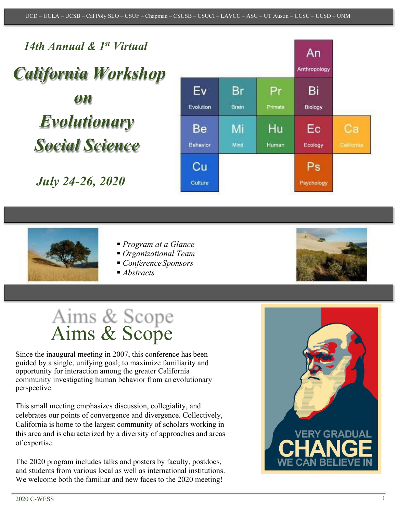*14th Annual & 1st Virtual California Workshop* Ev Br *on*  Evolution Brain *Evolutionary*  Be Mi *Social Science* Behavior Mind

*July 24-26, 2020*





- *Program at a Glance*
- *Organizational Team*
- *ConferenceSponsors*
- *Abstracts*



# Aims & Scope<br>Aims & Scope

Since the inaugural meeting in 2007, this conference has been guided by a single, unifying goal; to maximize familiarity and opportunity for interaction among the greater California community investigating human behavior from an evolutionary perspective.

This small meeting emphasizes discussion, collegiality, and celebrates our points of convergence and divergence. Collectively, California is home to the largest community of scholars working in this area and is characterized by a diversity of approaches and areas of expertise.

The 2020 program includes talks and posters by faculty, postdocs, and students from various local as well as international institutions. We welcome both the familiar and new faces to the 2020 meeting!

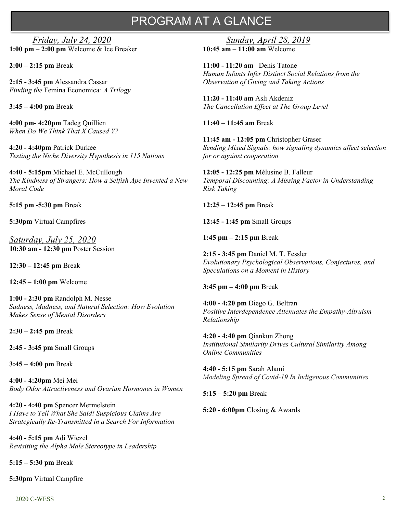# PROGRAM AT A GLANCE

*Friday, July 24, 2020* **1:00 pm – 2:00 pm** Welcome & Ice Breaker

**2:00 – 2:15 pm** Break

**2:15 - 3:45 pm** Alessandra Cassar *Finding the* Femina Economica*: A Trilogy*

**3:45 – 4:00 pm** Break

**4:00 pm- 4:20pm** Tadeg Quillien *When Do We Think That X Caused Y?*

**4:20 - 4:40pm** Patrick Durkee *Testing the Niche Diversity Hypothesis in 115 Nations*

**4:40 - 5:15pm** Michael E. McCullough *The Kindness of Strangers: How a Selfish Ape Invented a New Moral Code*

**5:15 pm -5:30 pm** Break

**5:30pm** Virtual Campfires

*Saturday, July 25, 2020* **10:30 am - 12:30 pm** Poster Session

**12:30 – 12:45 pm** Break

**12:45 – 1:00 pm** Welcome

**1:00 - 2:30 pm** Randolph M. Nesse *Sadness, Madness, and Natural Selection: How Evolution Makes Sense of Mental Disorders*

**2:30 – 2:45 pm** Break

**2:45 - 3:45 pm** Small Groups

**3:45 – 4:00 pm** Break

**4:00 - 4:20pm** Mei Mei *Body Odor Attractiveness and Ovarian Hormones in Women*

**4:20 - 4:40 pm** Spencer Mermelstein *I Have to Tell What She Said! Suspicious Claims Are Strategically Re-Transmitted in a Search For Information*

**4:40 - 5:15 pm** Adi Wiezel *Revisiting the Alpha Male Stereotype in Leadership*

**5:15 – 5:30 pm** Break

**5:30pm** Virtual Campfire

*Sunday, April 28, 2019* **10:45 am – 11:00 am** Welcome

**11:00 - 11:20 am** Denis Tatone *Human Infants Infer Distinct Social Relations from the Observation of Giving and Taking Actions*

**11:20 - 11:40 am** Asli Akdeniz *The Cancellation Effect at The Group Level*

**11:40 – 11:45 am** Break

**11:45 am - 12:05 pm** Christopher Graser *Sending Mixed Signals: how signaling dynamics affect selection for or against cooperation*

**12:05 - 12:25 pm** Mélusine B. Falleur *Temporal Discounting: A Missing Factor in Understanding Risk Taking*

**12:25 – 12:45 pm** Break

**12:45 - 1:45 pm** Small Groups

**1:45 pm – 2:15 pm** Break

**2:15 - 3:45 pm** Daniel M. T. Fessler *Evolutionary Psychological Observations, Conjectures, and Speculations on a Moment in History*

**3:45 pm – 4:00 pm** Break

**4:00 - 4:20 pm** Diego G. Beltran *Positive Interdependence Attenuates the Empathy-Altruism Relationship*

**4:20 - 4:40 pm** Qiankun Zhong *Institutional Similarity Drives Cultural Similarity Among Online Communities*

**4:40 - 5:15 pm** Sarah Alami *Modeling Spread of Covid-19 In Indigenous Communities*

**5:15 – 5:20 pm** Break

**5:20 - 6:00pm** Closing & Awards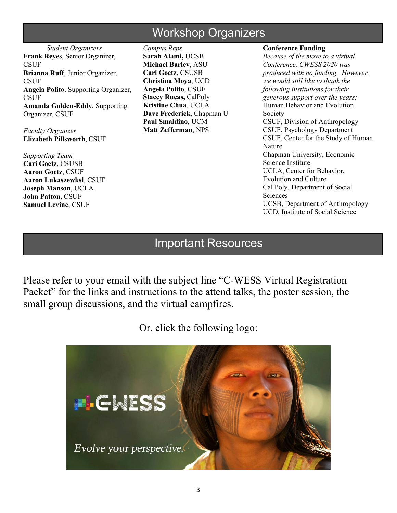# Workshop Organizers

*Student Organizers* **Frank Reyes**, Senior Organizer, **CSUF Brianna Ruff**, Junior Organizer, **CSUF Angela Polito**, Supporting Organizer, **CSUF Amanda Golden-Eddy**, Supporting Organizer, CSUF

*Faculty Organizer* **Elizabeth Pillsworth**, CSUF

*Supporting Team* **Cari Goetz**, CSUSB **Aaron Goetz**, CSUF **Aaron Lukaszewksi**, CSUF **Joseph Manson**, UCLA **John Patton**, CSUF **Samuel Levine**, CSUF

*Campus Reps* **Sarah Alami,** UCSB **Michael Barlev**, ASU **Cari Goetz**, CSUSB **Christina Moya**, UCD **Angela Polito**, CSUF **Stacey Rucas,** CalPoly **Kristine Chua**, UCLA **Dave Frederick**, Chapman U **Paul Smaldino**, UCM **Matt Zefferman**, NPS

**Conference Funding**

*Because of the move to a virtual Conference, CWESS 2020 was produced with no funding. However, we would still like to thank the following institutions for their generous support over the years:* Human Behavior and Evolution Society CSUF, Division of Anthropology CSUF, Psychology Department CSUF, Center for the Study of Human Nature Chapman University, Economic Science Institute UCLA, Center for Behavior, Evolution and Culture Cal Poly, Department of Social Sciences UCSB, Department of Anthropology UCD, Institute of Social Science

# Important Resources

Please refer to your email with the subject line "C-WESS Virtual Registration Packet" for the links and instructions to the attend talks, the poster session, the small group discussions, and the virtual campfires.

Or, click the following logo:

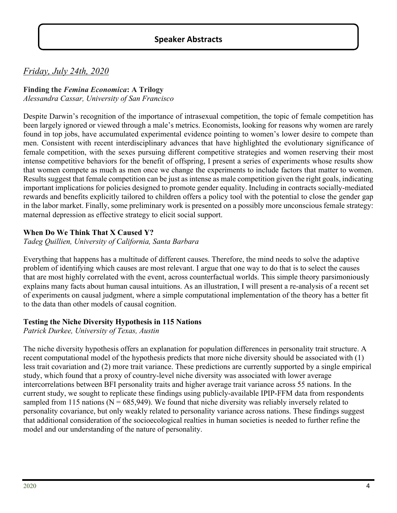# **Speaker Abstracts**

# *Friday, July 24th, 2020*

# **Finding the** *Femina Economica***: A Trilogy**

*Alessandra Cassar, University of San Francisco*

Despite Darwin's recognition of the importance of intrasexual competition, the topic of female competition has been largely ignored or viewed through a male's metrics. Economists, looking for reasons why women are rarely found in top jobs, have accumulated experimental evidence pointing to women's lower desire to compete than men. Consistent with recent interdisciplinary advances that have highlighted the evolutionary significance of female competition, with the sexes pursuing different competitive strategies and women reserving their most intense competitive behaviors for the benefit of offspring, I present a series of experiments whose results show that women compete as much as men once we change the experiments to include factors that matter to women. Results suggest that female competition can be just as intense as male competition given the right goals, indicating important implications for policies designed to promote gender equality. Including in contracts socially-mediated rewards and benefits explicitly tailored to children offers a policy tool with the potential to close the gender gap in the labor market. Finally, some preliminary work is presented on a possibly more unconscious female strategy: maternal depression as effective strategy to elicit social support.

#### **When Do We Think That X Caused Y?**

*Tadeg Quillien, University of California, Santa Barbara*

Everything that happens has a multitude of different causes. Therefore, the mind needs to solve the adaptive problem of identifying which causes are most relevant. I argue that one way to do that is to select the causes that are most highly correlated with the event, across counterfactual worlds. This simple theory parsimoniously explains many facts about human causal intuitions. As an illustration, I will present a re-analysis of a recent set of experiments on causal judgment, where a simple computational implementation of the theory has a better fit to the data than other models of causal cognition.

#### **Testing the Niche Diversity Hypothesis in 115 Nations**

*Patrick Durkee, University of Texas, Austin*

The niche diversity hypothesis offers an explanation for population differences in personality trait structure. A recent computational model of the hypothesis predicts that more niche diversity should be associated with (1) less trait covariation and (2) more trait variance. These predictions are currently supported by a single empirical study, which found that a proxy of country-level niche diversity was associated with lower average intercorrelations between BFI personality traits and higher average trait variance across 55 nations. In the current study, we sought to replicate these findings using publicly-available IPIP-FFM data from respondents sampled from 115 nations ( $N = 685,949$ ). We found that niche diversity was reliably inversely related to personality covariance, but only weakly related to personality variance across nations. These findings suggest that additional consideration of the socioecological realties in human societies is needed to further refine the model and our understanding of the nature of personality.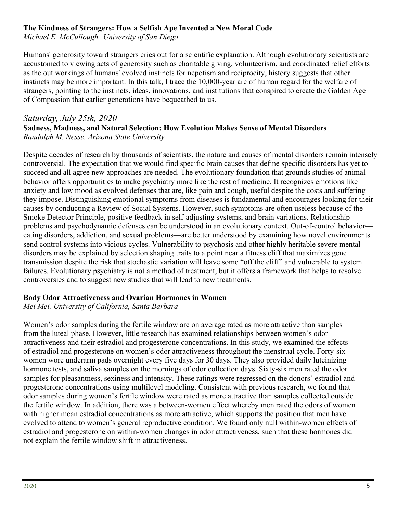#### **The Kindness of Strangers: How a Selfish Ape Invented a New Moral Code**

*Michael E. McCullough, University of San Diego*

Humans' generosity toward strangers cries out for a scientific explanation. Although evolutionary scientists are accustomed to viewing acts of generosity such as charitable giving, volunteerism, and coordinated relief efforts as the out workings of humans' evolved instincts for nepotism and reciprocity, history suggests that other instincts may be more important. In this talk, I trace the 10,000-year arc of human regard for the welfare of strangers, pointing to the instincts, ideas, innovations, and institutions that conspired to create the Golden Age of Compassion that earlier generations have bequeathed to us.

#### *Saturday, July 25th, 2020* **Sadness, Madness, and Natural Selection: How Evolution Makes Sense of Mental Disorders** *Randolph M. Nesse, Arizona State University*

Despite decades of research by thousands of scientists, the nature and causes of mental disorders remain intensely controversial. The expectation that we would find specific brain causes that define specific disorders has yet to succeed and all agree new approaches are needed. The evolutionary foundation that grounds studies of animal behavior offers opportunities to make psychiatry more like the rest of medicine. It recognizes emotions like anxiety and low mood as evolved defenses that are, like pain and cough, useful despite the costs and suffering they impose. Distinguishing emotional symptoms from diseases is fundamental and encourages looking for their causes by conducting a Review of Social Systems. However, such symptoms are often useless because of the Smoke Detector Principle, positive feedback in self-adjusting systems, and brain variations. Relationship problems and psychodynamic defenses can be understood in an evolutionary context. Out-of-control behavior eating disorders, addiction, and sexual problems—are better understood by examining how novel environments send control systems into vicious cycles. Vulnerability to psychosis and other highly heritable severe mental disorders may be explained by selection shaping traits to a point near a fitness cliff that maximizes gene transmission despite the risk that stochastic variation will leave some "off the cliff" and vulnerable to system failures. Evolutionary psychiatry is not a method of treatment, but it offers a framework that helps to resolve controversies and to suggest new studies that will lead to new treatments.

#### **Body Odor Attractiveness and Ovarian Hormones in Women**

*Mei Mei, University of California, Santa Barbara*

Women's odor samples during the fertile window are on average rated as more attractive than samples from the luteal phase. However, little research has examined relationships between women's odor attractiveness and their estradiol and progesterone concentrations. In this study, we examined the effects of estradiol and progesterone on women's odor attractiveness throughout the menstrual cycle. Forty-six women wore underarm pads overnight every five days for 30 days. They also provided daily luteinizing hormone tests, and saliva samples on the mornings of odor collection days. Sixty-six men rated the odor samples for pleasantness, sexiness and intensity. These ratings were regressed on the donors' estradiol and progesterone concentrations using multilevel modeling. Consistent with previous research, we found that odor samples during women's fertile window were rated as more attractive than samples collected outside the fertile window. In addition, there was a between-women effect whereby men rated the odors of women with higher mean estradiol concentrations as more attractive, which supports the position that men have evolved to attend to women's general reproductive condition. We found only null within-women effects of estradiol and progesterone on within-women changes in odor attractiveness, such that these hormones did not explain the fertile window shift in attractiveness.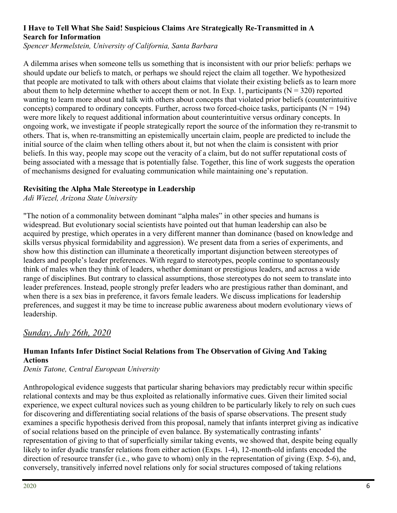# **I Have to Tell What She Said! Suspicious Claims Are Strategically Re-Transmitted in A Search for Information**

*Spencer Mermelstein, University of California, Santa Barbara*

A dilemma arises when someone tells us something that is inconsistent with our prior beliefs: perhaps we should update our beliefs to match, or perhaps we should reject the claim all together. We hypothesized that people are motivated to talk with others about claims that violate their existing beliefs as to learn more about them to help determine whether to accept them or not. In Exp. 1, participants ( $N = 320$ ) reported wanting to learn more about and talk with others about concepts that violated prior beliefs (counterintuitive concepts) compared to ordinary concepts. Further, across two forced-choice tasks, participants ( $N = 194$ ) were more likely to request additional information about counterintuitive versus ordinary concepts. In ongoing work, we investigate if people strategically report the source of the information they re-transmit to others. That is, when re-transmitting an epistemically uncertain claim, people are predicted to include the initial source of the claim when telling others about it, but not when the claim is consistent with prior beliefs. In this way, people may scope out the veracity of a claim, but do not suffer reputational costs of being associated with a message that is potentially false. Together, this line of work suggests the operation of mechanisms designed for evaluating communication while maintaining one's reputation.

#### **Revisiting the Alpha Male Stereotype in Leadership**

*Adi Wiezel, Arizona State University*

"The notion of a commonality between dominant "alpha males" in other species and humans is widespread. But evolutionary social scientists have pointed out that human leadership can also be acquired by prestige, which operates in a very different manner than dominance (based on knowledge and skills versus physical formidability and aggression). We present data from a series of experiments, and show how this distinction can illuminate a theoretically important disjunction between stereotypes of leaders and people's leader preferences. With regard to stereotypes, people continue to spontaneously think of males when they think of leaders, whether dominant or prestigious leaders, and across a wide range of disciplines. But contrary to classical assumptions, those stereotypes do not seem to translate into leader preferences. Instead, people strongly prefer leaders who are prestigious rather than dominant, and when there is a sex bias in preference, it favors female leaders. We discuss implications for leadership preferences, and suggest it may be time to increase public awareness about modern evolutionary views of leadership.

# *Sunday, July 26th, 2020*

# **Human Infants Infer Distinct Social Relations from The Observation of Giving And Taking Actions**

*Denis Tatone, Central European University*

Anthropological evidence suggests that particular sharing behaviors may predictably recur within specific relational contexts and may be thus exploited as relationally informative cues. Given their limited social experience, we expect cultural novices such as young children to be particularly likely to rely on such cues for discovering and differentiating social relations of the basis of sparse observations. The present study examines a specific hypothesis derived from this proposal, namely that infants interpret giving as indicative of social relations based on the principle of even balance. By systematically contrasting infants' representation of giving to that of superficially similar taking events, we showed that, despite being equally likely to infer dyadic transfer relations from either action (Exps. 1-4), 12-month-old infants encoded the direction of resource transfer (i.e., who gave to whom) only in the representation of giving (Exp. 5-6), and, conversely, transitively inferred novel relations only for social structures composed of taking relations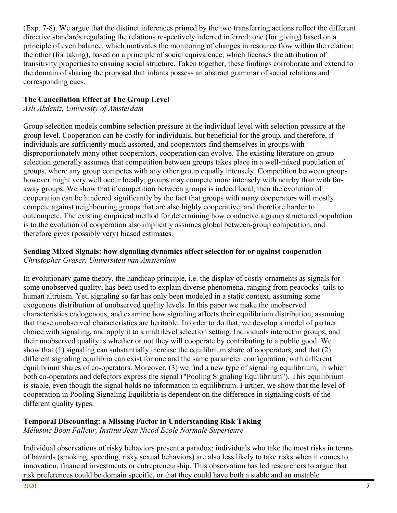(Exp. 7-8). We argue that the distinct inferences primed by the two transferring actions reflect the different directive standards regulating the relations respectively inferred inferred: one (for giving) based on a principle of even balance, which motivates the monitoring of changes in resource flow within the relation; the other (for taking), based on a principle of social equivalence, which licenses the attribution of transitivity properties to ensuing social structure. Taken together, these findings corroborate and extend to the domain of sharing the proposal that infants possess an abstract grammar of social relations and corresponding cues.

# **The Cancellation Effect at The Group Level**

*Asli Akdeniz, University of Amsterdam*

Group selection models combine selection pressure at the individual level with selection pressure at the group level. Cooperation can be costly for individuals, but beneficial for the group, and therefore, if individuals are sufficiently much assorted, and cooperators find themselves in groups with disproportionately many other cooperators, cooperation can evolve. The existing literature on group selection generally assumes that competition between groups takes place in a well-mixed population of groups, where any group competes with any other group equally intensely. Competition between groups however might very well occur locally; groups may compete more intensely with nearby than with faraway groups. We show that if competition between groups is indeed local, then the evolution of cooperation can be hindered significantly by the fact that groups with many cooperators will mostly compete against neighbouring groups that are also highly cooperative, and therefore harder to outcompete. The existing empirical method for determining how conducive a group structured population is to the evolution of cooperation also implicitly assumes global between-group competition, and therefore gives (possibly very) biased estimates.

#### **Sending Mixed Signals: how signaling dynamics affect selection for or against cooperation** *Christopher Graser, Universiteit van Amsterdam*

In evolutionary game theory, the handicap principle, i.e. the display of costly ornaments as signals for some unobserved quality, has been used to explain diverse phenomena, ranging from peacocks' tails to human altruism. Yet, signaling so far has only been modeled in a static context, assuming some exogenous distribution of unobserved quality levels. In this paper we make the unobserved characteristics endogenous, and examine how signaling affects their equilibrium distribution, assuming that these unobserved characteristics are heritable. In order to do that, we develop a model of partner choice with signaling, and apply it to a multilevel selection setting. Individuals interact in groups, and their unobserved quality is whether or not they will cooperate by contributing to a public good. We show that (1) signaling can substantially increase the equilibrium share of cooperators; and that (2) different signaling equilibria can exist for one and the same parameter configuration, with different equilibrium shares of co-operators. Moreover, (3) we find a new type of signaling equilibrium, in which both co-operators and defectors express the signal ("Pooling Signaling Equilibrium"). This equilibrium is stable, even though the signal holds no information in equilibrium. Further, we show that the level of cooperation in Pooling Signaling Equilibria is dependent on the difference in signaling costs of the different quality types.

# **Temporal Discounting: a Missing Factor in Understanding Risk Taking**

*Mélusine Boon Falleur, Institut Jean Nicod Ecole Normale Superieure*

Individual observations of risky behaviors present a paradox: individuals who take the most risks in terms of hazards (smoking, speeding, risky sexual behaviors) are also less likely to take risks when it comes to innovation, financial investments or entrepreneurship. This observation has led researchers to argue that risk preferences could be domain specific, or that they could have both a stable and an unstable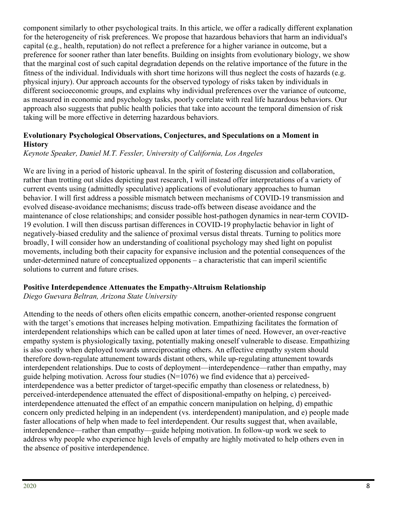component similarly to other psychological traits. In this article, we offer a radically different explanation for the heterogeneity of risk preferences. We propose that hazardous behaviors that harm an individual's capital (e.g., health, reputation) do not reflect a preference for a higher variance in outcome, but a preference for sooner rather than later benefits. Building on insights from evolutionary biology, we show that the marginal cost of such capital degradation depends on the relative importance of the future in the fitness of the individual. Individuals with short time horizons will thus neglect the costs of hazards (e.g. physical injury). Our approach accounts for the observed typology of risks taken by individuals in different socioeconomic groups, and explains why individual preferences over the variance of outcome, as measured in economic and psychology tasks, poorly correlate with real life hazardous behaviors. Our approach also suggests that public health policies that take into account the temporal dimension of risk taking will be more effective in deterring hazardous behaviors.

## **Evolutionary Psychological Observations, Conjectures, and Speculations on a Moment in History**

# *Keynote Speaker, Daniel M.T. Fessler, University of California, Los Angeles*

We are living in a period of historic upheaval. In the spirit of fostering discussion and collaboration, rather than trotting out slides depicting past research, I will instead offer interpretations of a variety of current events using (admittedly speculative) applications of evolutionary approaches to human behavior. I will first address a possible mismatch between mechanisms of COVID-19 transmission and evolved disease-avoidance mechanisms; discuss trade-offs between disease avoidance and the maintenance of close relationships; and consider possible host-pathogen dynamics in near-term COVID-19 evolution. I will then discuss partisan differences in COVID-19 prophylactic behavior in light of negatively-biased credulity and the salience of proximal versus distal threats. Turning to politics more broadly, I will consider how an understanding of coalitional psychology may shed light on populist movements, including both their capacity for expansive inclusion and the potential consequences of the under-determined nature of conceptualized opponents – a characteristic that can imperil scientific solutions to current and future crises.

#### **Positive Interdependence Attenuates the Empathy-Altruism Relationship**

*Diego Guevara Beltran, Arizona State University*

Attending to the needs of others often elicits empathic concern, another-oriented response congruent with the target's emotions that increases helping motivation. Empathizing facilitates the formation of interdependent relationships which can be called upon at later times of need. However, an over-reactive empathy system is physiologically taxing, potentially making oneself vulnerable to disease. Empathizing is also costly when deployed towards unreciprocating others. An effective empathy system should therefore down-regulate attunement towards distant others, while up-regulating attunement towards interdependent relationships. Due to costs of deployment—interdependence—rather than empathy, may guide helping motivation. Across four studies  $(N=1076)$  we find evidence that a) perceivedinterdependence was a better predictor of target-specific empathy than closeness or relatedness, b) perceived-interdependence attenuated the effect of dispositional-empathy on helping, c) perceivedinterdependence attenuated the effect of an empathic concern manipulation on helping, d) empathic concern only predicted helping in an independent (vs. interdependent) manipulation, and e) people made faster allocations of help when made to feel interdependent. Our results suggest that, when available, interdependence—rather than empathy—guide helping motivation. In follow-up work we seek to address why people who experience high levels of empathy are highly motivated to help others even in the absence of positive interdependence.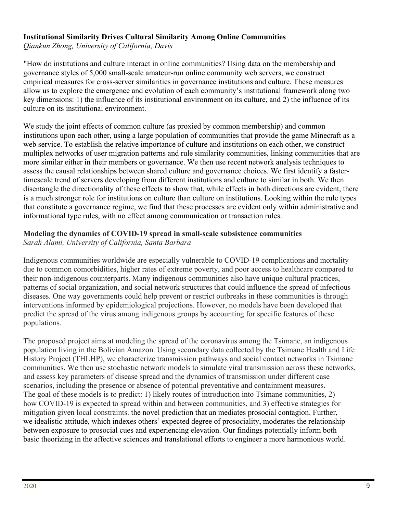#### **Institutional Similarity Drives Cultural Similarity Among Online Communities**

*Qiankun Zhong, University of California, Davis*

"How do institutions and culture interact in online communities? Using data on the membership and governance styles of 5,000 small-scale amateur-run online community web servers, we construct empirical measures for cross-server similarities in governance institutions and culture. These measures allow us to explore the emergence and evolution of each community's institutional framework along two key dimensions: 1) the influence of its institutional environment on its culture, and 2) the influence of its culture on its institutional environment.

We study the joint effects of common culture (as proxied by common membership) and common institutions upon each other, using a large population of communities that provide the game Minecraft as a web service. To establish the relative importance of culture and institutions on each other, we construct multiplex networks of user migration patterns and rule similarity communities, linking communities that are more similar either in their members or governance. We then use recent network analysis techniques to assess the causal relationships between shared culture and governance choices. We first identify a fastertimescale trend of servers developing from different institutions and culture to similar in both. We then disentangle the directionality of these effects to show that, while effects in both directions are evident, there is a much stronger role for institutions on culture than culture on institutions. Looking within the rule types that constitute a governance regime, we find that these processes are evident only within administrative and informational type rules, with no effect among communication or transaction rules.

#### **Modeling the dynamics of COVID-19 spread in small-scale subsistence communities**

*Sarah Alami, University of California, Santa Barbara*

Indigenous communities worldwide are especially vulnerable to COVID-19 complications and mortality due to common comorbidities, higher rates of extreme poverty, and poor access to healthcare compared to their non-indigenous counterparts. Many indigenous communities also have unique cultural practices, patterns of social organization, and social network structures that could influence the spread of infectious diseases. One way governments could help prevent or restrict outbreaks in these communities is through interventions informed by epidemiological projections. However, no models have been developed that predict the spread of the virus among indigenous groups by accounting for specific features of these populations.

The proposed project aims at modeling the spread of the coronavirus among the Tsimane, an indigenous population living in the Bolivian Amazon. Using secondary data collected by the Tsimane Health and Life History Project (THLHP), we characterize transmission pathways and social contact networks in Tsimane communities. We then use stochastic network models to simulate viral transmission across these networks, and assess key parameters of disease spread and the dynamics of transmission under different case scenarios, including the presence or absence of potential preventative and containment measures. The goal of these models is to predict: 1) likely routes of introduction into Tsimane communities, 2) how COVID-19 is expected to spread within and between communities, and 3) effective strategies for mitigation given local constraints. the novel prediction that an mediates prosocial contagion. Further, we idealistic attitude, which indexes others' expected degree of prosociality, moderates the relationship between exposure to prosocial cues and experiencing elevation. Our findings potentially inform both basic theorizing in the affective sciences and translational efforts to engineer a more harmonious world.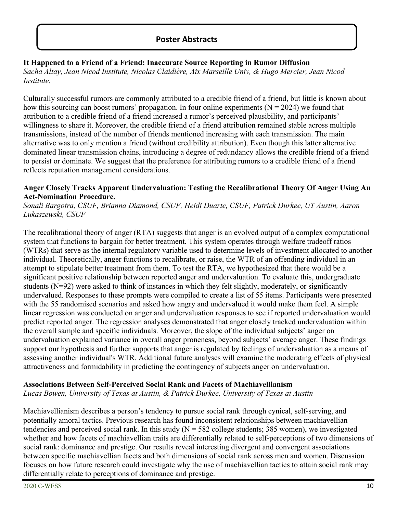# **Poster Abstracts**

## **It Happened to a Friend of a Friend: Inaccurate Source Reporting in Rumor Diffusion**

*Sacha Altay, Jean Nicod Institute, Nicolas Claidière, Aix Marseille Univ, & Hugo Mercier, Jean Nicod Institute.*

Culturally successful rumors are commonly attributed to a credible friend of a friend, but little is known about how this sourcing can boost rumors' propagation. In four online experiments ( $N = 2024$ ) we found that attribution to a credible friend of a friend increased a rumor's perceived plausibility, and participants' willingness to share it. Moreover, the credible friend of a friend attribution remained stable across multiple transmissions, instead of the number of friends mentioned increasing with each transmission. The main alternative was to only mention a friend (without credibility attribution). Even though this latter alternative dominated linear transmission chains, introducing a degree of redundancy allows the credible friend of a friend to persist or dominate. We suggest that the preference for attributing rumors to a credible friend of a friend reflects reputation management considerations.

#### **Anger Closely Tracks Apparent Undervaluation: Testing the Recalibrational Theory Of Anger Using An Act-Nomination Procedure.**

*Sonali Bargotra, CSUF, Brianna Diamond, CSUF, Heidi Duarte, CSUF, Patrick Durkee, UT Austin, Aaron Lukaszewski, CSUF*

The recalibrational theory of anger (RTA) suggests that anger is an evolved output of a complex computational system that functions to bargain for better treatment. This system operates through welfare tradeoff ratios (WTRs) that serve as the internal regulatory variable used to determine levels of investment allocated to another individual. Theoretically, anger functions to recalibrate, or raise, the WTR of an offending individual in an attempt to stipulate better treatment from them. To test the RTA, we hypothesized that there would be a significant positive relationship between reported anger and undervaluation. To evaluate this, undergraduate students (N=92) were asked to think of instances in which they felt slightly, moderately, or significantly undervalued. Responses to these prompts were compiled to create a list of 55 items. Participants were presented with the 55 randomised scenarios and asked how angry and undervalued it would make them feel. A simple linear regression was conducted on anger and undervaluation responses to see if reported undervaluation would predict reported anger. The regression analyses demonstrated that anger closely tracked undervaluation within the overall sample and specific individuals. Moreover, the slope of the individual subjects' anger on undervaluation explained variance in overall anger proneness, beyond subjects' average anger. These findings support our hypothesis and further supports that anger is regulated by feelings of undervaluation as a means of assessing another individual's WTR. Additional future analyses will examine the moderating effects of physical attractiveness and formidability in predicting the contingency of subjects anger on undervaluation.

# **Associations Between Self-Perceived Social Rank and Facets of Machiavellianism**

*Lucas Bowen, University of Texas at Austin, & Patrick Durkee, University of Texas at Austin*

Machiavellianism describes a person's tendency to pursue social rank through cynical, self-serving, and potentially amoral tactics. Previous research has found inconsistent relationships between machiavellian tendencies and perceived social rank. In this study  $(N = 582$  college students; 385 women), we investigated whether and how facets of machiavellian traits are differentially related to self-perceptions of two dimensions of social rank: dominance and prestige. Our results reveal interesting divergent and convergent associations between specific machiavellian facets and both dimensions of social rank across men and women. Discussion focuses on how future research could investigate why the use of machiavellian tactics to attain social rank may differentially relate to perceptions of dominance and prestige.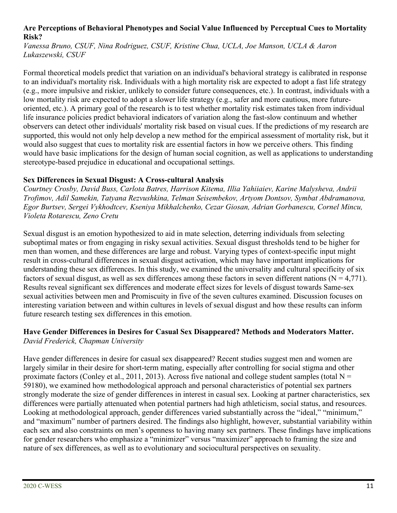#### **Are Perceptions of Behavioral Phenotypes and Social Value Influenced by Perceptual Cues to Mortality Risk?**

*Vanessa Bruno, CSUF, Nina Rodriguez, CSUF, Kristine Chua, UCLA, Joe Manson, UCLA & Aaron Lukaszewski, CSUF*

Formal theoretical models predict that variation on an individual's behavioral strategy is calibrated in response to an individual's mortality risk. Individuals with a high mortality risk are expected to adopt a fast life strategy (e.g., more impulsive and riskier, unlikely to consider future consequences, etc.). In contrast, individuals with a low mortality risk are expected to adopt a slower life strategy (e.g., safer and more cautious, more futureoriented, etc.). A primary goal of the research is to test whether mortality risk estimates taken from individual life insurance policies predict behavioral indicators of variation along the fast-slow continuum and whether observers can detect other individuals' mortality risk based on visual cues. If the predictions of my research are supported, this would not only help develop a new method for the empirical assessment of mortality risk, but it would also suggest that cues to mortality risk are essential factors in how we perceive others. This finding would have basic implications for the design of human social cognition, as well as applications to understanding stereotype-based prejudice in educational and occupational settings.

#### **Sex Differences in Sexual Disgust: A Cross-cultural Analysis**

*Courtney Crosby, David Buss, Carlota Batres, Harrison Kitema, Illia Yahiiaiev, Karine Malysheva, Andrii Trofimov, Adil Samekin, Tatyana Rezvushkina, Telman Seisembekov, Artyom Dontsov, Symbat Abdramanova, Egor Burtsev, Sergei Vykhodtcev, Kseniya Mikhalchenko, Cezar Giosan, Adrian Gorbanescu, Cornel Mincu, Violeta Rotarescu, Zeno Cretu*

Sexual disgust is an emotion hypothesized to aid in mate selection, deterring individuals from selecting suboptimal mates or from engaging in risky sexual activities. Sexual disgust thresholds tend to be higher for men than women, and these differences are large and robust. Varying types of context-specific input might result in cross-cultural differences in sexual disgust activation, which may have important implications for understanding these sex differences. In this study, we examined the universality and cultural specificity of six factors of sexual disgust, as well as sex differences among these factors in seven different nations ( $N = 4,771$ ). Results reveal significant sex differences and moderate effect sizes for levels of disgust towards Same-sex sexual activities between men and Promiscuity in five of the seven cultures examined. Discussion focuses on interesting variation between and within cultures in levels of sexual disgust and how these results can inform future research testing sex differences in this emotion.

# **Have Gender Differences in Desires for Casual Sex Disappeared? Methods and Moderators Matter.**

*David Frederick, Chapman University* Have gender differences in desire for casual sex disappeared? Recent studies suggest men and women are largely similar in their desire for short-term mating, especially after controlling for social stigma and other proximate factors (Conley et al., 2011, 2013). Across five national and college student samples (total  $N =$ 59180), we examined how methodological approach and personal characteristics of potential sex partners strongly moderate the size of gender differences in interest in casual sex. Looking at partner characteristics, sex differences were partially attenuated when potential partners had high athleticism, social status, and resources. Looking at methodological approach, gender differences varied substantially across the "ideal," "minimum," and "maximum" number of partners desired. The findings also highlight, however, substantial variability within each sex and also constraints on men's openness to having many sex partners. These findings have implications for gender researchers who emphasize a "minimizer" versus "maximizer" approach to framing the size and nature of sex differences, as well as to evolutionary and sociocultural perspectives on sexuality.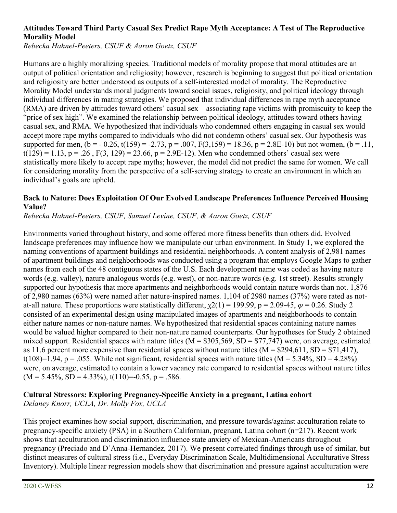## **Attitudes Toward Third Party Casual Sex Predict Rape Myth Acceptance: A Test of The Reproductive Morality Model**

*Rebecka Hahnel-Peeters, CSUF & Aaron Goetz, CSUF*

Humans are a highly moralizing species. Traditional models of morality propose that moral attitudes are an output of political orientation and religiosity; however, research is beginning to suggest that political orientation and religiosity are better understood as outputs of a self-interested model of morality. The Reproductive Morality Model understands moral judgments toward social issues, religiosity, and political ideology through individual differences in mating strategies. We proposed that individual differences in rape myth acceptance (RMA) are driven by attitudes toward others' casual sex—associating rape victims with promiscuity to keep the "price of sex high". We examined the relationship between political ideology, attitudes toward others having casual sex, and RMA. We hypothesized that individuals who condemned others engaging in casual sex would accept more rape myths compared to individuals who did not condemn others' casual sex. Our hypothesis was supported for men,  $(b = -0.26, t(159) = -2.73, p = .007, F(3,159) = 18.36, p = 2.8E-10$  but not women,  $(b = .11,$  $t(129) = 1.13$ ,  $p = .26$ ,  $F(3, 129) = 23.66$ ,  $p = 2.9E-12$ ). Men who condemned others' casual sex were statistically more likely to accept rape myths; however, the model did not predict the same for women. We call for considering morality from the perspective of a self-serving strategy to create an environment in which an individual's goals are upheld.

#### **Back to Nature: Does Exploitation Of Our Evolved Landscape Preferences Influence Perceived Housing Value?**

*Rebecka Hahnel-Peeters, CSUF, Samuel Levine, CSUF, & Aaron Goetz, CSUF*

Environments varied throughout history, and some offered more fitness benefits than others did. Evolved landscape preferences may influence how we manipulate our urban environment. In Study 1, we explored the naming conventions of apartment buildings and residential neighborhoods. A content analysis of 2,981 names of apartment buildings and neighborhoods was conducted using a program that employs Google Maps to gather names from each of the 48 contiguous states of the U.S. Each development name was coded as having nature words (e.g. valley), nature analogous words (e.g. west), or non-nature words (e.g. 1st street). Results strongly supported our hypothesis that more apartments and neighborhoods would contain nature words than not. 1,876 of 2,980 names (63%) were named after nature-inspired names. 1,104 of 2980 names (37%) were rated as notat-all nature. These proportions were statistically different,  $\chi$ 2(1) = 199.99, p = 2.09-45,  $\varphi$  = 0.26. Study 2 consisted of an experimental design using manipulated images of apartments and neighborhoods to contain either nature names or non-nature names. We hypothesized that residential spaces containing nature names would be valued higher compared to their non-nature named counterparts. Our hypotheses for Study 2 obtained mixed support. Residential spaces with nature titles ( $M = $305,569$ , SD = \$77,747) were, on average, estimated as 11.6 percent more expensive than residential spaces without nature titles  $(M = $294,611, SD = $71,417)$ , t(108)=1.94, p = .055. While not significant, residential spaces with nature titles  $(M = 5.34\%, SD = 4.28\%)$ were, on average, estimated to contain a lower vacancy rate compared to residential spaces without nature titles  $(M = 5.45\%, SD = 4.33\%), t(110)=0.55, p = .586.$ 

#### **Cultural Stressors: Exploring Pregnancy-Specific Anxiety in a pregnant, Latina cohort** *Delaney Knorr, UCLA, Dr. Molly Fox, UCLA*

This project examines how social support, discrimination, and pressure towards/against acculturation relate to pregnancy-specific anxiety (PSA) in a Southern Californian, pregnant, Latina cohort (n=217). Recent work shows that acculturation and discrimination influence state anxiety of Mexican-Americans throughout pregnancy (Preciado and D'Anna-Hernandez, 2017). We present correlated findings through use of similar, but distinct measures of cultural stress (i.e., Everyday Discrimination Scale, Multidimensional Acculturative Stress Inventory). Multiple linear regression models show that discrimination and pressure against acculturation were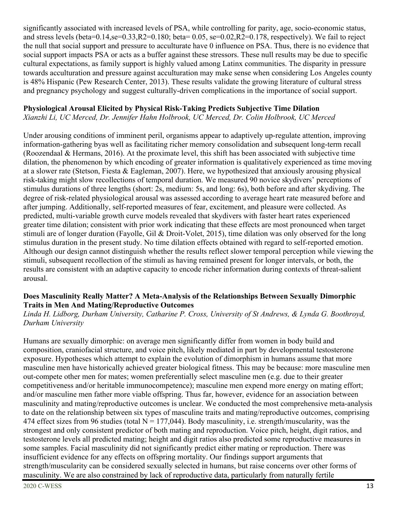significantly associated with increased levels of PSA, while controlling for parity, age, socio-economic status, and stress levels (beta=0.14,se=0.33,R2=0.180; beta= 0.05, se=0.02,R2=0.178, respectively). We fail to reject the null that social support and pressure to acculturate have 0 influence on PSA. Thus, there is no evidence that social support impacts PSA or acts as a buffer against these stressors. These null results may be due to specific cultural expectations, as family support is highly valued among Latinx communities. The disparity in pressure towards acculturation and pressure against acculturation may make sense when considering Los Angeles county is 48% Hispanic (Pew Research Center, 2013). These results validate the growing literature of cultural stress and pregnancy psychology and suggest culturally-driven complications in the importance of social support.

#### **Physiological Arousal Elicited by Physical Risk-Taking Predicts Subjective Time Dilation**

*Xianzhi Li, UC Merced, Dr. Jennifer Hahn Holbrook, UC Merced, Dr. Colin Holbrook, UC Merced*

Under arousing conditions of imminent peril, organisms appear to adaptively up-regulate attention, improving information-gathering byas well as facilitating richer memory consolidation and subsequent long-term recall (Roozendaal & Hermans, 2016). At the proximate level, this shift has been associated with subjective time dilation, the phenomenon by which encoding of greater information is qualitatively experienced as time moving at a slower rate (Stetson, Fiesta & Eagleman, 2007). Here, we hypothesized that anxiously arousing physical risk-taking might slow recollections of temporal duration. We measured 90 novice skydivers' perceptions of stimulus durations of three lengths (short: 2s, medium: 5s, and long: 6s), both before and after skydiving. The degree of risk-related physiological arousal was assessed according to average heart rate measured before and after jumping. Additionally, self-reported measures of fear, excitement, and pleasure were collected. As predicted, multi-variable growth curve models revealed that skydivers with faster heart rates experienced greater time dilation; consistent with prior work indicating that these effects are most pronounced when target stimuli are of longer duration (Fayolle, Gil & Droit-Volet, 2015), time dilation was only observed for the long stimulus duration in the present study. No time dilation effects obtained with regard to self-reported emotion. Although our design cannot distinguish whether the results reflect slower temporal perception while viewing the stimuli, subsequent recollection of the stimuli as having remained present for longer intervals, or both, the results are consistent with an adaptive capacity to encode richer information during contexts of threat-salient arousal.

#### **Does Masculinity Really Matter? A Meta-Analysis of the Relationships Between Sexually Dimorphic Traits in Men And Mating/Reproductive Outcomes**

#### *Linda H. Lidborg, Durham University, Catharine P. Cross, University of St Andrews, & Lynda G. Boothroyd, Durham University*

Humans are sexually dimorphic: on average men significantly differ from women in body build and composition, craniofacial structure, and voice pitch, likely mediated in part by developmental testosterone exposure. Hypotheses which attempt to explain the evolution of dimorphism in humans assume that more masculine men have historically achieved greater biological fitness. This may be because: more masculine men out-compete other men for mates; women preferentially select masculine men (e.g. due to their greater competitiveness and/or heritable immunocompetence); masculine men expend more energy on mating effort; and/or masculine men father more viable offspring. Thus far, however, evidence for an association between masculinity and mating/reproductive outcomes is unclear. We conducted the most comprehensive meta-analysis to date on the relationship between six types of masculine traits and mating/reproductive outcomes, comprising 474 effect sizes from 96 studies (total  $N = 177,044$ ). Body masculinity, i.e. strength/muscularity, was the strongest and only consistent predictor of both mating and reproduction. Voice pitch, height, digit ratios, and testosterone levels all predicted mating; height and digit ratios also predicted some reproductive measures in some samples. Facial masculinity did not significantly predict either mating or reproduction. There was insufficient evidence for any effects on offspring mortality. Our findings support arguments that strength/muscularity can be considered sexually selected in humans, but raise concerns over other forms of masculinity. We are also constrained by lack of reproductive data, particularly from naturally fertile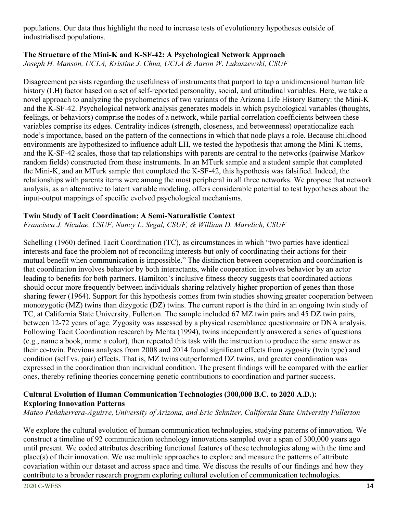populations. Our data thus highlight the need to increase tests of evolutionary hypotheses outside of industrialised populations.

#### **The Structure of the Mini-K and K-SF-42: A Psychological Network Approach**

*Joseph H. Manson, UCLA, Kristine J. Chua, UCLA & Aaron W. Lukaszewski, CSUF*

Disagreement persists regarding the usefulness of instruments that purport to tap a unidimensional human life history (LH) factor based on a set of self-reported personality, social, and attitudinal variables. Here, we take a novel approach to analyzing the psychometrics of two variants of the Arizona Life History Battery: the Mini-K and the K-SF-42. Psychological network analysis generates models in which psychological variables (thoughts, feelings, or behaviors) comprise the nodes of a network, while partial correlation coefficients between these variables comprise its edges. Centrality indices (strength, closeness, and betweenness) operationalize each node's importance, based on the pattern of the connections in which that node plays a role. Because childhood environments are hypothesized to influence adult LH, we tested the hypothesis that among the Mini-K items, and the K-SF-42 scales, those that tap relationships with parents are central to the networks (pairwise Markov random fields) constructed from these instruments. In an MTurk sample and a student sample that completed the Mini-K, and an MTurk sample that completed the K-SF-42, this hypothesis was falsified. Indeed, the relationships with parents items were among the most peripheral in all three networks. We propose that network analysis, as an alternative to latent variable modeling, offers considerable potential to test hypotheses about the input-output mappings of specific evolved psychological mechanisms.

#### **Twin Study of Tacit Coordination: A Semi-Naturalistic Context**

*Francisca J. Niculae, CSUF, Nancy L. Segal, CSUF, & William D. Marelich, CSUF*

Schelling (1960) defined Tacit Coordination (TC), as circumstances in which "two parties have identical interests and face the problem not of reconciling interests but only of coordinating their actions for their mutual benefit when communication is impossible." The distinction between cooperation and coordination is that coordination involves behavior by both interactants, while cooperation involves behavior by an actor leading to benefits for both partners. Hamilton's inclusive fitness theory suggests that coordinated actions should occur more frequently between individuals sharing relatively higher proportion of genes than those sharing fewer (1964). Support for this hypothesis comes from twin studies showing greater cooperation between monozygotic (MZ) twins than dizygotic (DZ) twins. The current report is the third in an ongoing twin study of TC, at California State University, Fullerton. The sample included 67 MZ twin pairs and 45 DZ twin pairs, between 12-72 years of age. Zygosity was assessed by a physical resemblance questionnaire or DNA analysis. Following Tacit Coordination research by Mehta (1994), twins independently answered a series of questions (e.g., name a book, name a color), then repeated this task with the instruction to produce the same answer as their co-twin. Previous analyses from 2008 and 2014 found significant effects from zygosity (twin type) and condition (self vs. pair) effects. That is, MZ twins outperformed DZ twins, and greater coordination was expressed in the coordination than individual condition. The present findings will be compared with the earlier ones, thereby refining theories concerning genetic contributions to coordination and partner success.

# **Cultural Evolution of Human Communication Technologies (300,000 B.C. to 2020 A.D.): Exploring Innovation Patterns**

*Mateo Peñaherrera-Aguirre, University of Arizona, and Eric Schniter, California State University Fullerton*

We explore the cultural evolution of human communication technologies, studying patterns of innovation. We construct a timeline of 92 communication technology innovations sampled over a span of 300,000 years ago until present. We coded attributes describing functional features of these technologies along with the time and place(s) of their innovation. We use multiple approaches to explore and measure the patterns of attribute covariation within our dataset and across space and time. We discuss the results of our findings and how they contribute to a broader research program exploring cultural evolution of communication technologies.